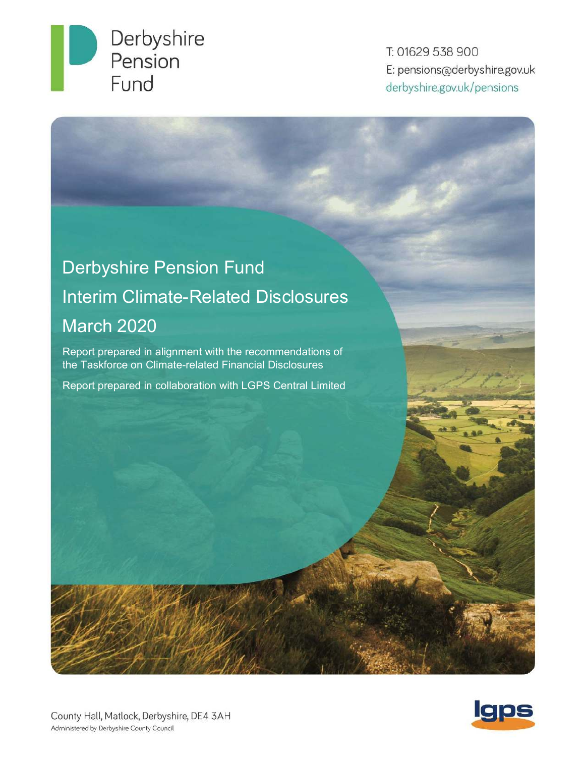

T: 01629 538 900 E: pensions@derbyshire.gov.uk derbyshire.gov.uk/pensions

# Derbyshire Pension Fund Interim Climate-Related Disclosures March 2020

Report prepared in alignment with the recommendations of the Taskforce on Climate-related Financial Disclosures

Report prepared in collaboration with LGPS Central Limited

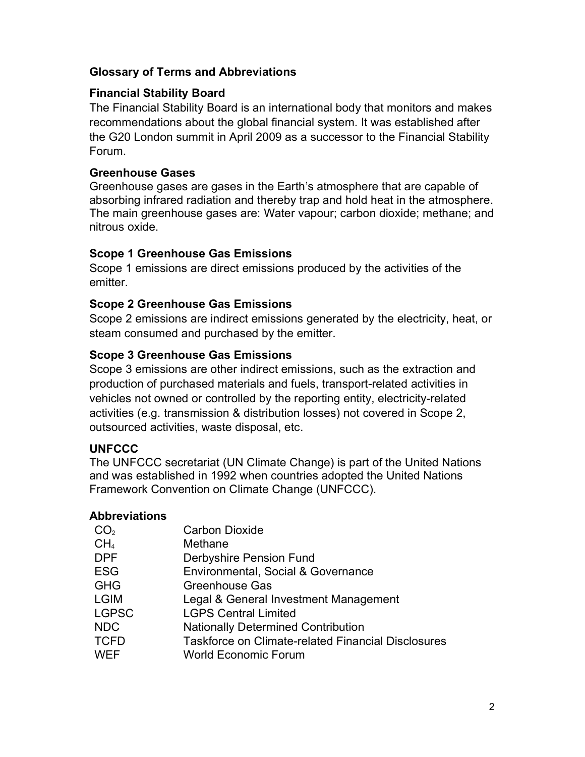# Glossary of Terms and Abbreviations

# Financial Stability Board

The Financial Stability Board is an international body that monitors and makes recommendations about the global financial system. It was established after the G20 London summit in April 2009 as a successor to the Financial Stability Forum.

# Greenhouse Gases

Greenhouse gases are gases in the Earth's atmosphere that are capable of absorbing infrared radiation and thereby trap and hold heat in the atmosphere. The main greenhouse gases are: Water vapour; carbon dioxide; methane; and nitrous oxide.

# Scope 1 Greenhouse Gas Emissions

Scope 1 emissions are direct emissions produced by the activities of the emitter.

# Scope 2 Greenhouse Gas Emissions

Scope 2 emissions are indirect emissions generated by the electricity, heat, or steam consumed and purchased by the emitter.

# Scope 3 Greenhouse Gas Emissions

Scope 3 emissions are other indirect emissions, such as the extraction and production of purchased materials and fuels, transport-related activities in vehicles not owned or controlled by the reporting entity, electricity-related activities (e.g. transmission & distribution losses) not covered in Scope 2, outsourced activities, waste disposal, etc.

# **UNFCCC**

The UNFCCC secretariat (UN Climate Change) is part of the United Nations and was established in 1992 when countries adopted the United Nations Framework Convention on Climate Change (UNFCCC).

# Abbreviations

| CO <sub>2</sub> | <b>Carbon Dioxide</b>                                     |
|-----------------|-----------------------------------------------------------|
| CH <sub>4</sub> | Methane                                                   |
| <b>DPF</b>      | <b>Derbyshire Pension Fund</b>                            |
| <b>ESG</b>      | Environmental, Social & Governance                        |
| <b>GHG</b>      | <b>Greenhouse Gas</b>                                     |
| <b>LGIM</b>     | Legal & General Investment Management                     |
| <b>LGPSC</b>    | <b>LGPS Central Limited</b>                               |
| <b>NDC</b>      | <b>Nationally Determined Contribution</b>                 |
| <b>TCFD</b>     | <b>Taskforce on Climate-related Financial Disclosures</b> |
| <b>WEF</b>      | <b>World Economic Forum</b>                               |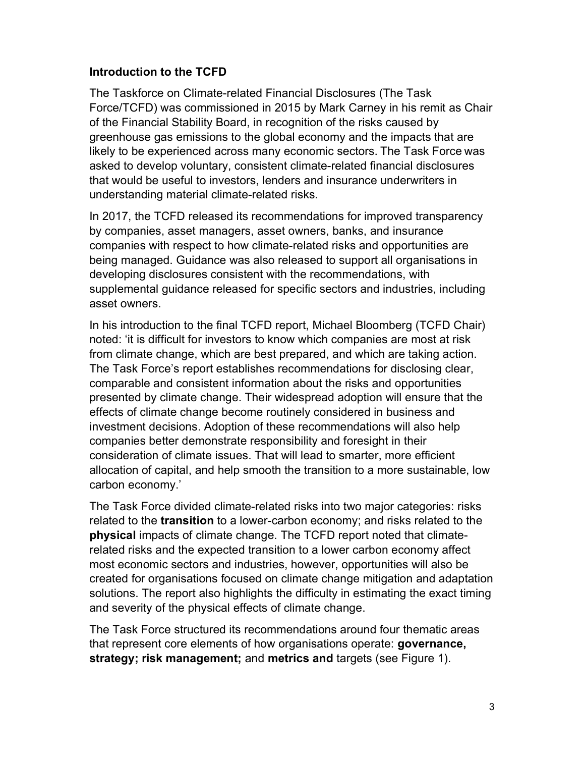## Introduction to the TCFD

The Taskforce on Climate-related Financial Disclosures (The Task Force/TCFD) was commissioned in 2015 by Mark Carney in his remit as Chair of the Financial Stability Board, in recognition of the risks caused by greenhouse gas emissions to the global economy and the impacts that are likely to be experienced across many economic sectors. The Task Force was asked to develop voluntary, consistent climate-related financial disclosures that would be useful to investors, lenders and insurance underwriters in understanding material climate-related risks.

In 2017, the TCFD released its recommendations for improved transparency by companies, asset managers, asset owners, banks, and insurance companies with respect to how climate-related risks and opportunities are being managed. Guidance was also released to support all organisations in developing disclosures consistent with the recommendations, with supplemental guidance released for specific sectors and industries, including asset owners.

In his introduction to the final TCFD report, Michael Bloomberg (TCFD Chair) noted: 'it is difficult for investors to know which companies are most at risk from climate change, which are best prepared, and which are taking action. The Task Force's report establishes recommendations for disclosing clear, comparable and consistent information about the risks and opportunities presented by climate change. Their widespread adoption will ensure that the effects of climate change become routinely considered in business and investment decisions. Adoption of these recommendations will also help companies better demonstrate responsibility and foresight in their consideration of climate issues. That will lead to smarter, more efficient allocation of capital, and help smooth the transition to a more sustainable, low carbon economy.'

The Task Force divided climate-related risks into two major categories: risks related to the **transition** to a lower-carbon economy; and risks related to the physical impacts of climate change. The TCFD report noted that climaterelated risks and the expected transition to a lower carbon economy affect most economic sectors and industries, however, opportunities will also be created for organisations focused on climate change mitigation and adaptation solutions. The report also highlights the difficulty in estimating the exact timing and severity of the physical effects of climate change.

The Task Force structured its recommendations around four thematic areas that represent core elements of how organisations operate: **governance**, strategy; risk management; and metrics and targets (see Figure 1).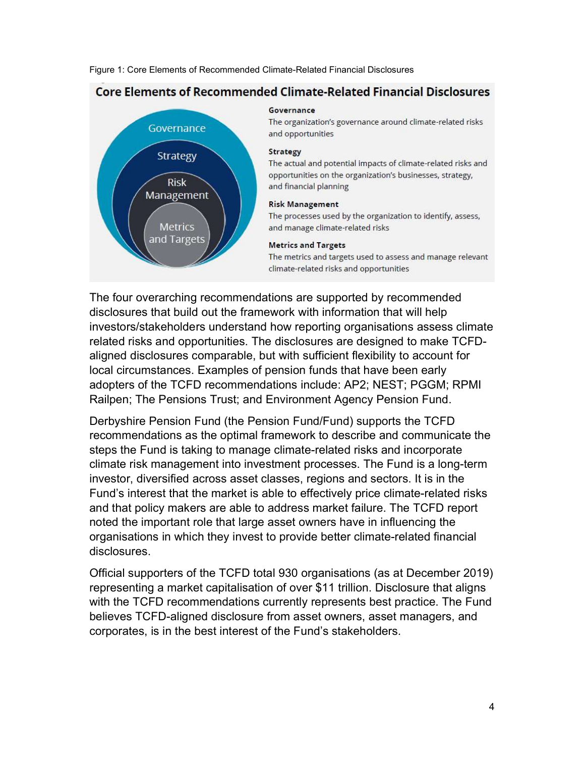Figure 1: Core Elements of Recommended Climate-Related Financial Disclosures



## **Core Elements of Recommended Climate-Related Financial Disclosures**

# The four overarching recommendations are supported by recommended disclosures that build out the framework with information that will help investors/stakeholders understand how reporting organisations assess climate related risks and opportunities. The disclosures are designed to make TCFDaligned disclosures comparable, but with sufficient flexibility to account for local circumstances. Examples of pension funds that have been early adopters of the TCFD recommendations include: AP2; NEST; PGGM; RPMI Railpen; The Pensions Trust; and Environment Agency Pension Fund.

Derbyshire Pension Fund (the Pension Fund/Fund) supports the TCFD recommendations as the optimal framework to describe and communicate the steps the Fund is taking to manage climate-related risks and incorporate climate risk management into investment processes. The Fund is a long-term investor, diversified across asset classes, regions and sectors. It is in the Fund's interest that the market is able to effectively price climate-related risks and that policy makers are able to address market failure. The TCFD report noted the important role that large asset owners have in influencing the organisations in which they invest to provide better climate-related financial disclosures.

Official supporters of the TCFD total 930 organisations (as at December 2019) representing a market capitalisation of over \$11 trillion. Disclosure that aligns with the TCFD recommendations currently represents best practice. The Fund believes TCFD-aligned disclosure from asset owners, asset managers, and corporates, is in the best interest of the Fund's stakeholders.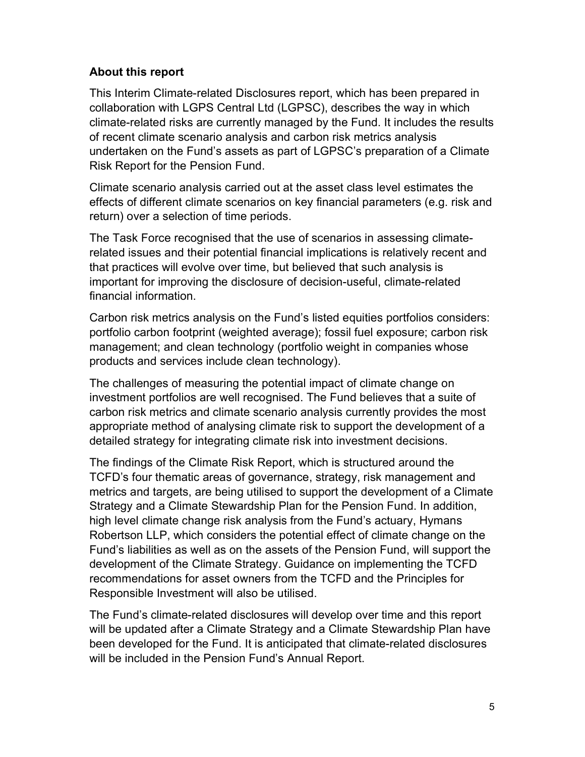# About this report

This Interim Climate-related Disclosures report, which has been prepared in collaboration with LGPS Central Ltd (LGPSC), describes the way in which climate-related risks are currently managed by the Fund. It includes the results of recent climate scenario analysis and carbon risk metrics analysis undertaken on the Fund's assets as part of LGPSC's preparation of a Climate Risk Report for the Pension Fund.

Climate scenario analysis carried out at the asset class level estimates the effects of different climate scenarios on key financial parameters (e.g. risk and return) over a selection of time periods.

The Task Force recognised that the use of scenarios in assessing climaterelated issues and their potential financial implications is relatively recent and that practices will evolve over time, but believed that such analysis is important for improving the disclosure of decision-useful, climate-related financial information.

Carbon risk metrics analysis on the Fund's listed equities portfolios considers: portfolio carbon footprint (weighted average); fossil fuel exposure; carbon risk management; and clean technology (portfolio weight in companies whose products and services include clean technology).

The challenges of measuring the potential impact of climate change on investment portfolios are well recognised. The Fund believes that a suite of carbon risk metrics and climate scenario analysis currently provides the most appropriate method of analysing climate risk to support the development of a detailed strategy for integrating climate risk into investment decisions.

The findings of the Climate Risk Report, which is structured around the TCFD's four thematic areas of governance, strategy, risk management and metrics and targets, are being utilised to support the development of a Climate Strategy and a Climate Stewardship Plan for the Pension Fund. In addition, high level climate change risk analysis from the Fund's actuary, Hymans Robertson LLP, which considers the potential effect of climate change on the Fund's liabilities as well as on the assets of the Pension Fund, will support the development of the Climate Strategy. Guidance on implementing the TCFD recommendations for asset owners from the TCFD and the Principles for Responsible Investment will also be utilised.

The Fund's climate-related disclosures will develop over time and this report will be updated after a Climate Strategy and a Climate Stewardship Plan have been developed for the Fund. It is anticipated that climate-related disclosures will be included in the Pension Fund's Annual Report.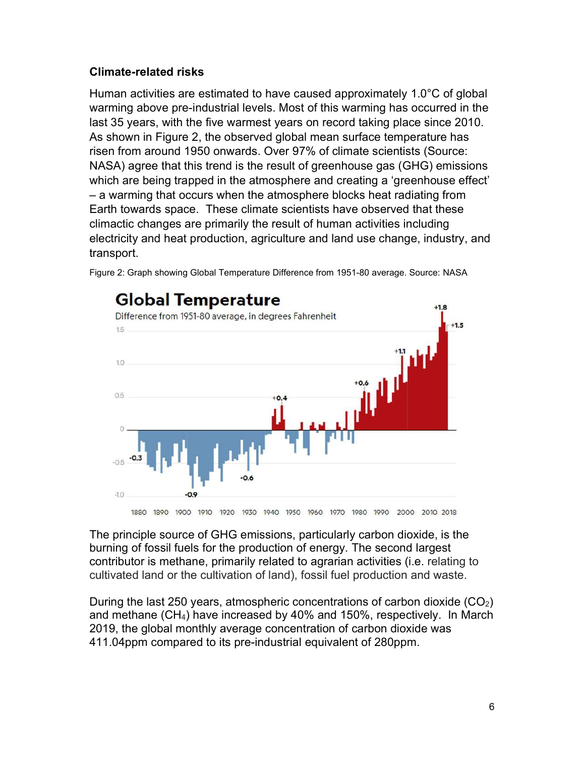# Climate-related risks

Human activities are estimated to have caused approximately 1.0°C of global warming above pre-industrial levels. Most of this warming has occurred in the last 35 years, with the five warmest years on record taking place since 2010. As shown in Figure 2, the observed global mean surface temperature has risen from around 1950 onwards. Over 97% of climate scientists (Source: NASA) agree that this trend is the result of greenhouse gas (GHG) emissions which are being trapped in the atmosphere and creating a 'greenhouse effect' – a warming that occurs when the atmosphere blocks heat radiating from Earth towards space. These climate scientists have observed that these climactic changes are primarily the result of human activities including electricity and heat production, agriculture and land use change, industry, and transport.



Figure 2: Graph showing Global Temperature Difference from 1951-80 average. Source: NASA

The principle source of GHG emissions, particularly carbon dioxide, is the burning of fossil fuels for the production of energy. The second largest contributor is methane, primarily related to agrarian activities (i.e. relating to cultivated land or the cultivation of land), fossil fuel production and waste.

During the last 250 years, atmospheric concentrations of carbon dioxide  $(CO<sub>2</sub>)$ and methane (CH4) have increased by 40% and 150%, respectively. In March 2019, the global monthly average concentration of carbon dioxide was 411.04ppm compared to its pre-industrial equivalent of 280ppm.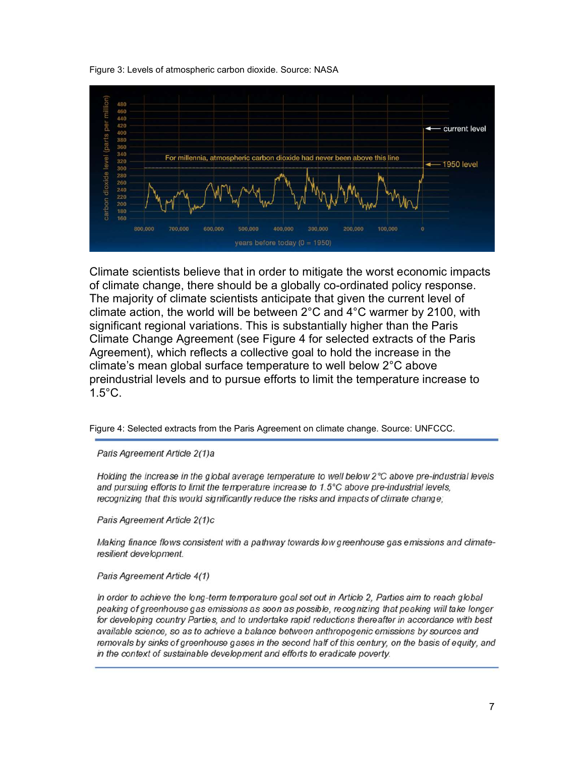Figure 3: Levels of atmospheric carbon dioxide. Source: NASA



Climate scientists believe that in order to mitigate the worst economic impacts of climate change, there should be a globally co-ordinated policy response. The majority of climate scientists anticipate that given the current level of climate action, the world will be between 2°C and 4°C warmer by 2100, with significant regional variations. This is substantially higher than the Paris Climate Change Agreement (see Figure 4 for selected extracts of the Paris Agreement), which reflects a collective goal to hold the increase in the climate's mean global surface temperature to well below 2°C above preindustrial levels and to pursue efforts to limit the temperature increase to 1.5°C.

Figure 4: Selected extracts from the Paris Agreement on climate change. Source: UNFCCC.

Paris Agreement Article 2(1)a

Holding the increase in the global average temperature to well below 2°C above pre-industrial levels and pursuing efforts to limit the temperature increase to 1.5 $\degree$ C above pre-industrial levels. recognizing that this would significantly reduce the risks and impacts of climate change;

Paris Agreement Article 2(1)c

Making finance flows consistent with a pathway towards low greenhouse gas emissions and climateresilient development.

#### Paris Agreement Article 4(1)

In order to achieve the long-term temperature goal set out in Article 2, Parties aim to reach global peaking of greenhouse gas emissions as soon as possible, recognizing that peaking will take longer for developing country Parties, and to undertake rapid reductions thereafter in accordance with best available science, so as to achieve a balance between anthropogenic emissions by sources and removals by sinks of greenhouse gases in the second half of this century, on the basis of equity, and in the context of sustainable development and efforts to eradicate poverty.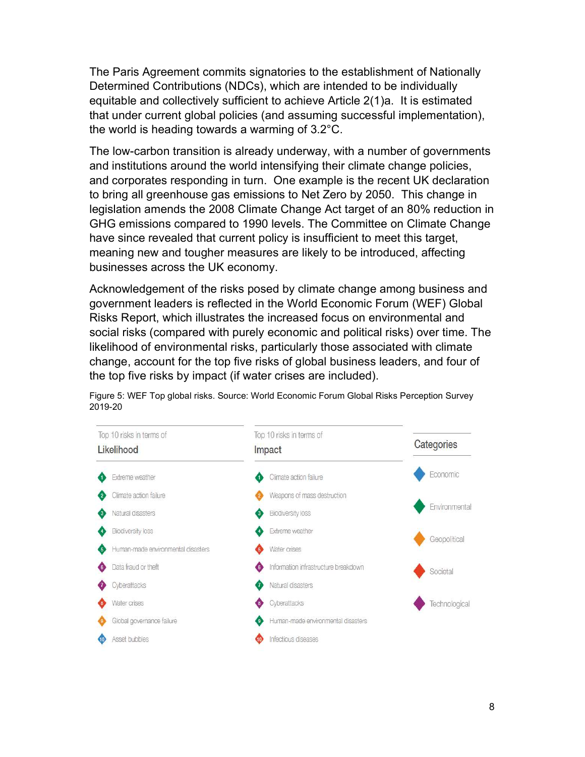The Paris Agreement commits signatories to the establishment of Nationally Determined Contributions (NDCs), which are intended to be individually equitable and collectively sufficient to achieve Article 2(1)a. It is estimated that under current global policies (and assuming successful implementation), the world is heading towards a warming of 3.2°C.

The low-carbon transition is already underway, with a number of governments and institutions around the world intensifying their climate change policies, and corporates responding in turn. One example is the recent UK declaration to bring all greenhouse gas emissions to Net Zero by 2050. This change in legislation amends the 2008 Climate Change Act target of an 80% reduction in GHG emissions compared to 1990 levels. The Committee on Climate Change have since revealed that current policy is insufficient to meet this target, meaning new and tougher measures are likely to be introduced, affecting businesses across the UK economy.

Acknowledgement of the risks posed by climate change among business and government leaders is reflected in the World Economic Forum (WEF) Global Risks Report, which illustrates the increased focus on environmental and social risks (compared with purely economic and political risks) over time. The likelihood of environmental risks, particularly those associated with climate change, account for the top five risks of global business leaders, and four of the top five risks by impact (if water crises are included).



Figure 5: WEF Top global risks. Source: World Economic Forum Global Risks Perception Survey 2019-20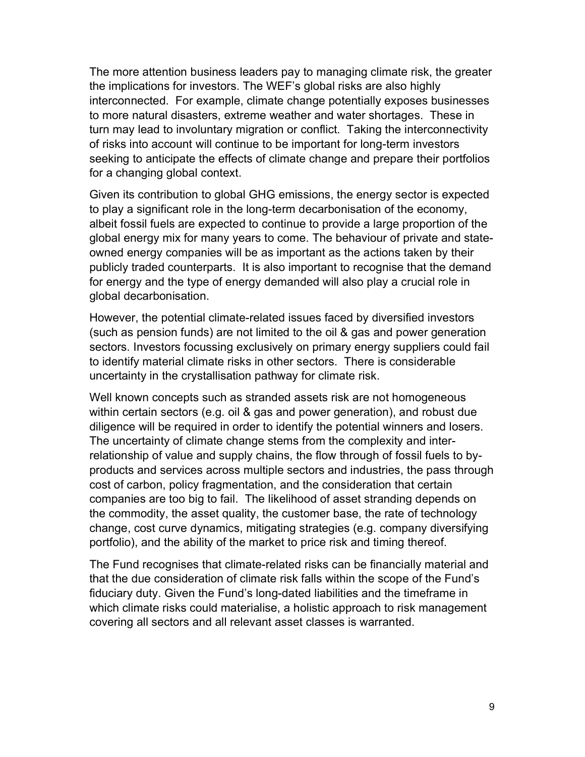The more attention business leaders pay to managing climate risk, the greater the implications for investors. The WEF's global risks are also highly interconnected. For example, climate change potentially exposes businesses to more natural disasters, extreme weather and water shortages. These in turn may lead to involuntary migration or conflict. Taking the interconnectivity of risks into account will continue to be important for long-term investors seeking to anticipate the effects of climate change and prepare their portfolios for a changing global context.

Given its contribution to global GHG emissions, the energy sector is expected to play a significant role in the long-term decarbonisation of the economy, albeit fossil fuels are expected to continue to provide a large proportion of the global energy mix for many years to come. The behaviour of private and stateowned energy companies will be as important as the actions taken by their publicly traded counterparts. It is also important to recognise that the demand for energy and the type of energy demanded will also play a crucial role in global decarbonisation.

However, the potential climate-related issues faced by diversified investors (such as pension funds) are not limited to the oil & gas and power generation sectors. Investors focussing exclusively on primary energy suppliers could fail to identify material climate risks in other sectors. There is considerable uncertainty in the crystallisation pathway for climate risk.

Well known concepts such as stranded assets risk are not homogeneous within certain sectors (e.g. oil & gas and power generation), and robust due diligence will be required in order to identify the potential winners and losers. The uncertainty of climate change stems from the complexity and interrelationship of value and supply chains, the flow through of fossil fuels to byproducts and services across multiple sectors and industries, the pass through cost of carbon, policy fragmentation, and the consideration that certain companies are too big to fail. The likelihood of asset stranding depends on the commodity, the asset quality, the customer base, the rate of technology change, cost curve dynamics, mitigating strategies (e.g. company diversifying portfolio), and the ability of the market to price risk and timing thereof.

The Fund recognises that climate-related risks can be financially material and that the due consideration of climate risk falls within the scope of the Fund's fiduciary duty. Given the Fund's long-dated liabilities and the timeframe in which climate risks could materialise, a holistic approach to risk management covering all sectors and all relevant asset classes is warranted.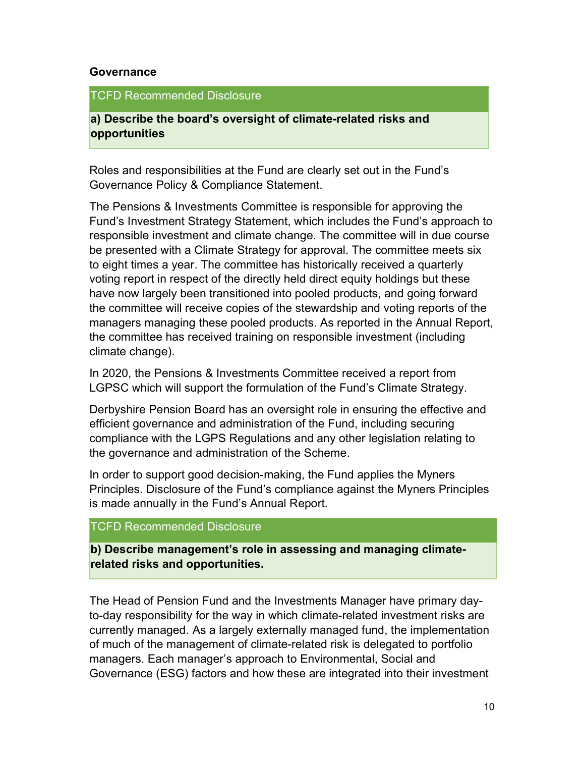#### Governance

#### TCFD Recommended Disclosure

a) Describe the board's oversight of climate-related risks and opportunities

Roles and responsibilities at the Fund are clearly set out in the Fund's Governance Policy & Compliance Statement.

The Pensions & Investments Committee is responsible for approving the Fund's Investment Strategy Statement, which includes the Fund's approach to responsible investment and climate change. The committee will in due course be presented with a Climate Strategy for approval. The committee meets six to eight times a year. The committee has historically received a quarterly voting report in respect of the directly held direct equity holdings but these have now largely been transitioned into pooled products, and going forward the committee will receive copies of the stewardship and voting reports of the managers managing these pooled products. As reported in the Annual Report, the committee has received training on responsible investment (including climate change).

In 2020, the Pensions & Investments Committee received a report from LGPSC which will support the formulation of the Fund's Climate Strategy.

Derbyshire Pension Board has an oversight role in ensuring the effective and efficient governance and administration of the Fund, including securing compliance with the LGPS Regulations and any other legislation relating to the governance and administration of the Scheme.

In order to support good decision-making, the Fund applies the Myners Principles. Disclosure of the Fund's compliance against the Myners Principles is made annually in the Fund's Annual Report.

## TCFD Recommended Disclosure

b) Describe management's role in assessing and managing climaterelated risks and opportunities.

The Head of Pension Fund and the Investments Manager have primary dayto-day responsibility for the way in which climate-related investment risks are currently managed. As a largely externally managed fund, the implementation of much of the management of climate-related risk is delegated to portfolio managers. Each manager's approach to Environmental, Social and Governance (ESG) factors and how these are integrated into their investment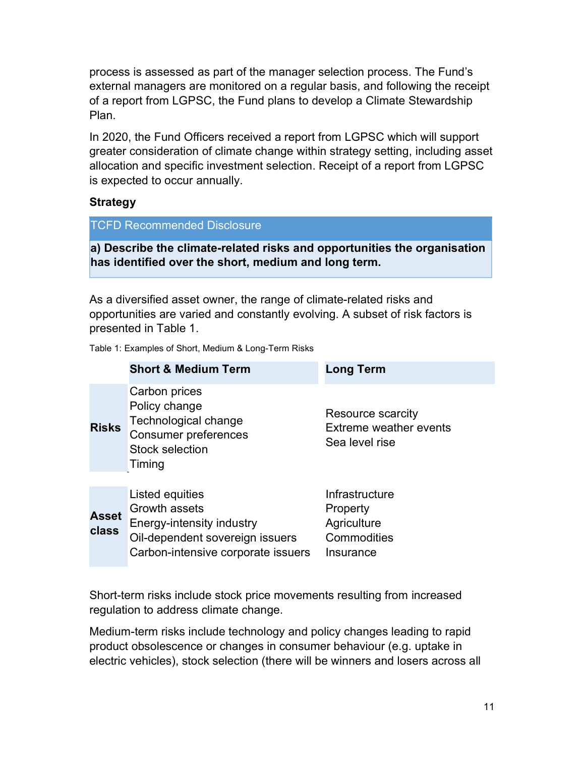process is assessed as part of the manager selection process. The Fund's external managers are monitored on a regular basis, and following the receipt of a report from LGPSC, the Fund plans to develop a Climate Stewardship Plan.

In 2020, the Fund Officers received a report from LGPSC which will support greater consideration of climate change within strategy setting, including asset allocation and specific investment selection. Receipt of a report from LGPSC is expected to occur annually.

#### **Strategy**

|  |  | <b>TCFD Recommended Disclosure</b> |  |
|--|--|------------------------------------|--|
|--|--|------------------------------------|--|

a) Describe the climate-related risks and opportunities the organisation has identified over the short, medium and long term.

As a diversified asset owner, the range of climate-related risks and opportunities are varied and constantly evolving. A subset of risk factors is presented in Table 1.

Table 1: Examples of Short, Medium & Long-Term Risks

|                              | <b>Short &amp; Medium Term</b>                                                                                                         | <b>Long Term</b>                                                      |
|------------------------------|----------------------------------------------------------------------------------------------------------------------------------------|-----------------------------------------------------------------------|
| <b>Risks</b>                 | Carbon prices<br>Policy change<br>Technological change<br><b>Consumer preferences</b><br>Stock selection<br>Timing                     | Resource scarcity<br>Extreme weather events<br>Sea level rise         |
|                              |                                                                                                                                        |                                                                       |
| <b>Asset</b><br><b>class</b> | Listed equities<br>Growth assets<br>Energy-intensity industry<br>Oil-dependent sovereign issuers<br>Carbon-intensive corporate issuers | Infrastructure<br>Property<br>Agriculture<br>Commodities<br>Insurance |

Short-term risks include stock price movements resulting from increased regulation to address climate change.

Medium-term risks include technology and policy changes leading to rapid product obsolescence or changes in consumer behaviour (e.g. uptake in electric vehicles), stock selection (there will be winners and losers across all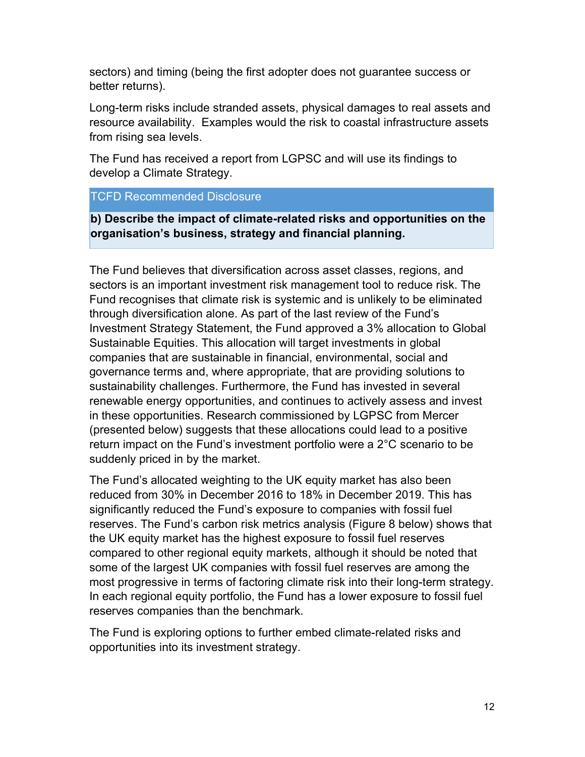sectors) and timing (being the first adopter does not guarantee success or better returns).

Long-term risks include stranded assets, physical damages to real assets and resource availability. Examples would the risk to coastal infrastructure assets from rising sea levels.

The Fund has received a report from LGPSC and will use its findings to develop a Climate Strategy.

TCFD Recommended Disclosure

b) Describe the impact of climate-related risks and opportunities on the organisation's business, strategy and financial planning.

The Fund believes that diversification across asset classes, regions, and sectors is an important investment risk management tool to reduce risk. The Fund recognises that climate risk is systemic and is unlikely to be eliminated through diversification alone. As part of the last review of the Fund's Investment Strategy Statement, the Fund approved a 3% allocation to Global Sustainable Equities. This allocation will target investments in global companies that are sustainable in financial, environmental, social and governance terms and, where appropriate, that are providing solutions to sustainability challenges. Furthermore, the Fund has invested in several renewable energy opportunities, and continues to actively assess and invest in these opportunities. Research commissioned by LGPSC from Mercer (presented below) suggests that these allocations could lead to a positive return impact on the Fund's investment portfolio were a 2°C scenario to be suddenly priced in by the market.

The Fund's allocated weighting to the UK equity market has also been reduced from 30% in December 2016 to 18% in December 2019. This has significantly reduced the Fund's exposure to companies with fossil fuel reserves. The Fund's carbon risk metrics analysis (Figure 8 below) shows that the UK equity market has the highest exposure to fossil fuel reserves compared to other regional equity markets, although it should be noted that some of the largest UK companies with fossil fuel reserves are among the most progressive in terms of factoring climate risk into their long-term strategy. In each regional equity portfolio, the Fund has a lower exposure to fossil fuel reserves companies than the benchmark.

The Fund is exploring options to further embed climate-related risks and opportunities into its investment strategy.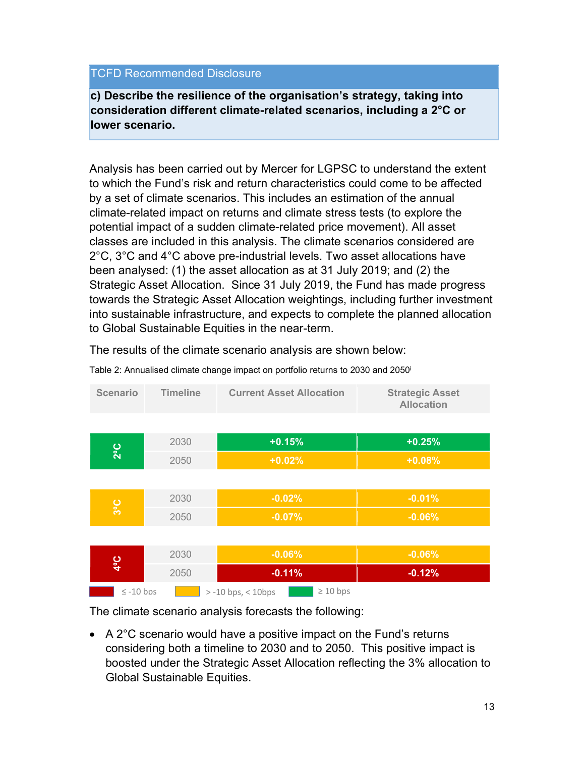## TCFD Recommended Disclosure

c) Describe the resilience of the organisation's strategy, taking into consideration different climate-related scenarios, including a 2°C or lower scenario.

Analysis has been carried out by Mercer for LGPSC to understand the extent to which the Fund's risk and return characteristics could come to be affected by a set of climate scenarios. This includes an estimation of the annual climate-related impact on returns and climate stress tests (to explore the potential impact of a sudden climate-related price movement). All asset classes are included in this analysis. The climate scenarios considered are 2°C, 3°C and 4°C above pre-industrial levels. Two asset allocations have been analysed: (1) the asset allocation as at 31 July 2019; and (2) the Strategic Asset Allocation. Since 31 July 2019, the Fund has made progress towards the Strategic Asset Allocation weightings, including further investment into sustainable infrastructure, and expects to complete the planned allocation to Global Sustainable Equities in the near-term.

The results of the climate scenario analysis are shown below:

| <b>Scenario</b> | <b>Timeline</b> | <b>Current Asset Allocation</b>       | <b>Strategic Asset</b><br><b>Allocation</b> |
|-----------------|-----------------|---------------------------------------|---------------------------------------------|
|                 |                 |                                       |                                             |
| $2^{\circ}C$    | 2030            | $+0.15%$                              | $+0.25%$                                    |
|                 | 2050            | $+0.02%$                              | $+0.08%$                                    |
|                 |                 |                                       |                                             |
|                 | 2030            | $-0.02%$                              | $-0.01%$                                    |
| $3^{\circ}C$    | 2050            | $-0.07%$                              | $-0.06%$                                    |
|                 |                 |                                       |                                             |
| $4^{\circ}C$    | 2030            | $-0.06%$                              | $-0.06%$                                    |
|                 | 2050            | $-0.11%$                              | $-0.12%$                                    |
| $\le$ -10 bps   |                 | $\geq 10$ bps<br>$> -10$ bps, < 10bps |                                             |

Table 2: Annualised climate change impact on portfolio returns to 2030 and 2050<sup>i</sup>

The climate scenario analysis forecasts the following:

 A 2°C scenario would have a positive impact on the Fund's returns considering both a timeline to 2030 and to 2050. This positive impact is boosted under the Strategic Asset Allocation reflecting the 3% allocation to Global Sustainable Equities.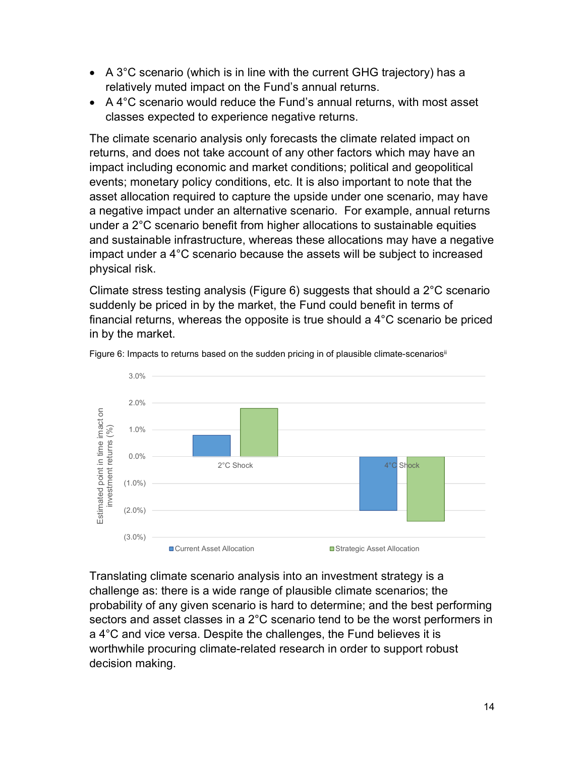- A 3°C scenario (which is in line with the current GHG trajectory) has a relatively muted impact on the Fund's annual returns.
- A 4°C scenario would reduce the Fund's annual returns, with most asset classes expected to experience negative returns.

The climate scenario analysis only forecasts the climate related impact on returns, and does not take account of any other factors which may have an impact including economic and market conditions; political and geopolitical events; monetary policy conditions, etc. It is also important to note that the asset allocation required to capture the upside under one scenario, may have a negative impact under an alternative scenario. For example, annual returns under a 2°C scenario benefit from higher allocations to sustainable equities and sustainable infrastructure, whereas these allocations may have a negative impact under a 4°C scenario because the assets will be subject to increased physical risk.

Climate stress testing analysis (Figure 6) suggests that should a 2°C scenario suddenly be priced in by the market, the Fund could benefit in terms of financial returns, whereas the opposite is true should a 4°C scenario be priced in by the market.



Figure 6: Impacts to returns based on the sudden pricing in of plausible climate-scenarios<sup>ii</sup>

Translating climate scenario analysis into an investment strategy is a challenge as: there is a wide range of plausible climate scenarios; the probability of any given scenario is hard to determine; and the best performing sectors and asset classes in a 2°C scenario tend to be the worst performers in a 4°C and vice versa. Despite the challenges, the Fund believes it is worthwhile procuring climate-related research in order to support robust decision making.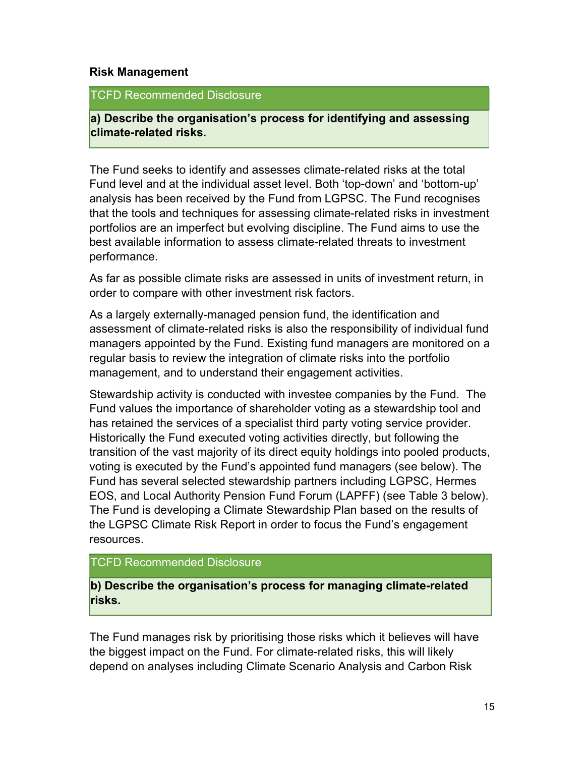#### Risk Management

#### TCFD Recommended Disclosure

a) Describe the organisation's process for identifying and assessing climate-related risks.

The Fund seeks to identify and assesses climate-related risks at the total Fund level and at the individual asset level. Both 'top-down' and 'bottom-up' analysis has been received by the Fund from LGPSC. The Fund recognises that the tools and techniques for assessing climate-related risks in investment portfolios are an imperfect but evolving discipline. The Fund aims to use the best available information to assess climate-related threats to investment performance.

As far as possible climate risks are assessed in units of investment return, in order to compare with other investment risk factors.

As a largely externally-managed pension fund, the identification and assessment of climate-related risks is also the responsibility of individual fund managers appointed by the Fund. Existing fund managers are monitored on a regular basis to review the integration of climate risks into the portfolio management, and to understand their engagement activities.

Stewardship activity is conducted with investee companies by the Fund. The Fund values the importance of shareholder voting as a stewardship tool and has retained the services of a specialist third party voting service provider. Historically the Fund executed voting activities directly, but following the transition of the vast majority of its direct equity holdings into pooled products, voting is executed by the Fund's appointed fund managers (see below). The Fund has several selected stewardship partners including LGPSC, Hermes EOS, and Local Authority Pension Fund Forum (LAPFF) (see Table 3 below). The Fund is developing a Climate Stewardship Plan based on the results of the LGPSC Climate Risk Report in order to focus the Fund's engagement resources.

## TCFD Recommended Disclosure

b) Describe the organisation's process for managing climate-related risks.

The Fund manages risk by prioritising those risks which it believes will have the biggest impact on the Fund. For climate-related risks, this will likely depend on analyses including Climate Scenario Analysis and Carbon Risk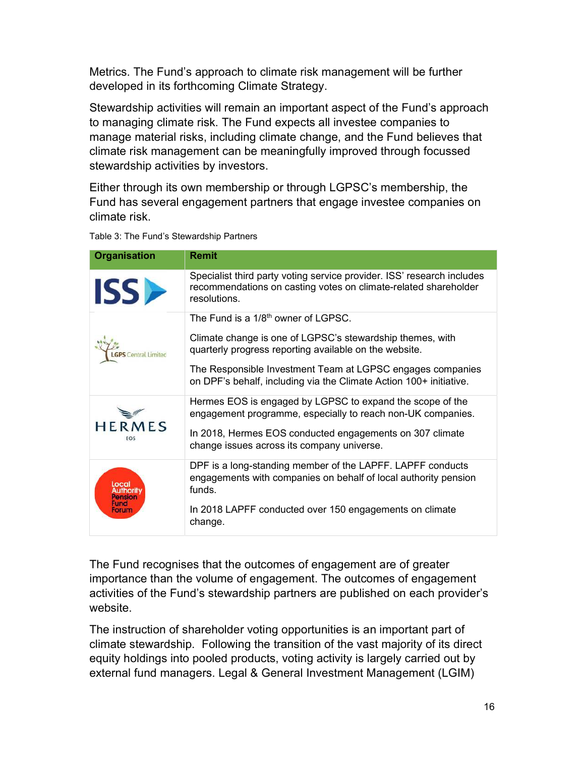Metrics. The Fund's approach to climate risk management will be further developed in its forthcoming Climate Strategy.

Stewardship activities will remain an important aspect of the Fund's approach to managing climate risk. The Fund expects all investee companies to manage material risks, including climate change, and the Fund believes that climate risk management can be meaningfully improved through focussed stewardship activities by investors.

Either through its own membership or through LGPSC's membership, the Fund has several engagement partners that engage investee companies on climate risk.

| <b>Organisation</b>               | <b>Remit</b>                                                                                                                                              |
|-----------------------------------|-----------------------------------------------------------------------------------------------------------------------------------------------------------|
| <b>ISS</b>                        | Specialist third party voting service provider. ISS' research includes<br>recommendations on casting votes on climate-related shareholder<br>resolutions. |
| Central Limited                   | The Fund is a 1/8 <sup>th</sup> owner of LGPSC.                                                                                                           |
|                                   | Climate change is one of LGPSC's stewardship themes, with<br>quarterly progress reporting available on the website.                                       |
|                                   | The Responsible Investment Team at LGPSC engages companies<br>on DPF's behalf, including via the Climate Action 100+ initiative.                          |
| <b>HERMES</b><br>FOS              | Hermes EOS is engaged by LGPSC to expand the scope of the<br>engagement programme, especially to reach non-UK companies.                                  |
|                                   | In 2018, Hermes EOS conducted engagements on 307 climate<br>change issues across its company universe.                                                    |
| Local<br>Pensior<br>Fund<br>Forum | DPF is a long-standing member of the LAPFF. LAPFF conducts<br>engagements with companies on behalf of local authority pension<br>funds.                   |
|                                   | In 2018 LAPFF conducted over 150 engagements on climate<br>change.                                                                                        |

Table 3: The Fund's Stewardship Partners

The Fund recognises that the outcomes of engagement are of greater importance than the volume of engagement. The outcomes of engagement activities of the Fund's stewardship partners are published on each provider's website.

The instruction of shareholder voting opportunities is an important part of climate stewardship. Following the transition of the vast majority of its direct equity holdings into pooled products, voting activity is largely carried out by external fund managers. Legal & General Investment Management (LGIM)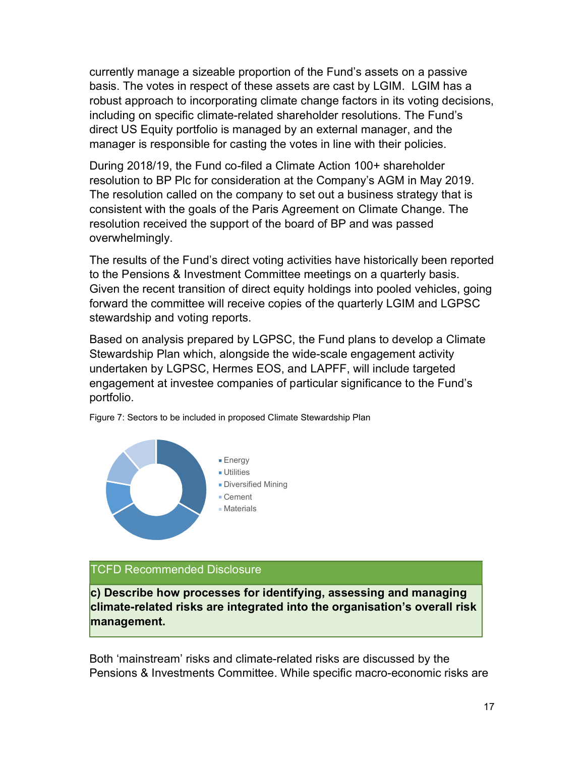currently manage a sizeable proportion of the Fund's assets on a passive basis. The votes in respect of these assets are cast by LGIM. LGIM has a robust approach to incorporating climate change factors in its voting decisions, including on specific climate-related shareholder resolutions. The Fund's direct US Equity portfolio is managed by an external manager, and the manager is responsible for casting the votes in line with their policies.

During 2018/19, the Fund co-filed a Climate Action 100+ shareholder resolution to BP Plc for consideration at the Company's AGM in May 2019. The resolution called on the company to set out a business strategy that is consistent with the goals of the Paris Agreement on Climate Change. The resolution received the support of the board of BP and was passed overwhelmingly.

The results of the Fund's direct voting activities have historically been reported to the Pensions & Investment Committee meetings on a quarterly basis. Given the recent transition of direct equity holdings into pooled vehicles, going forward the committee will receive copies of the quarterly LGIM and LGPSC stewardship and voting reports.

Based on analysis prepared by LGPSC, the Fund plans to develop a Climate Stewardship Plan which, alongside the wide-scale engagement activity undertaken by LGPSC, Hermes EOS, and LAPFF, will include targeted engagement at investee companies of particular significance to the Fund's portfolio.



Figure 7: Sectors to be included in proposed Climate Stewardship Plan

#### TCFD Recommended Disclosure

c) Describe how processes for identifying, assessing and managing climate-related risks are integrated into the organisation's overall risk management.

Both 'mainstream' risks and climate-related risks are discussed by the Pensions & Investments Committee. While specific macro-economic risks are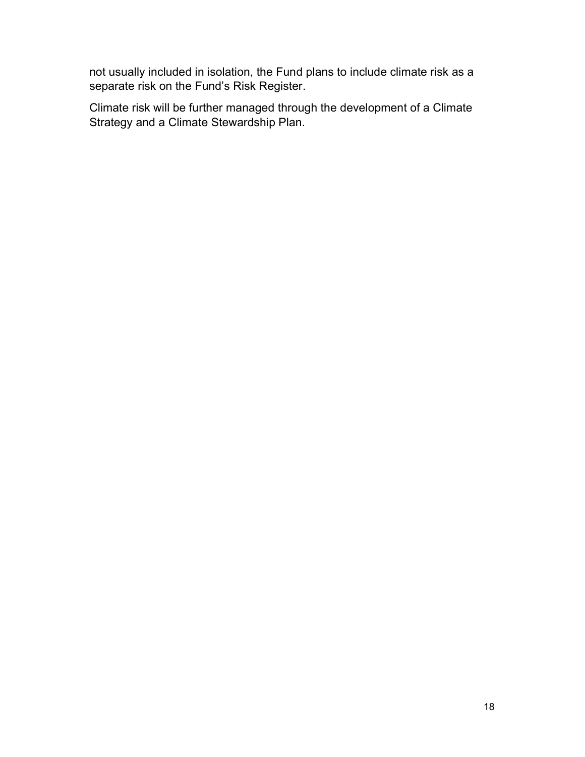not usually included in isolation, the Fund plans to include climate risk as a separate risk on the Fund's Risk Register.

Climate risk will be further managed through the development of a Climate Strategy and a Climate Stewardship Plan.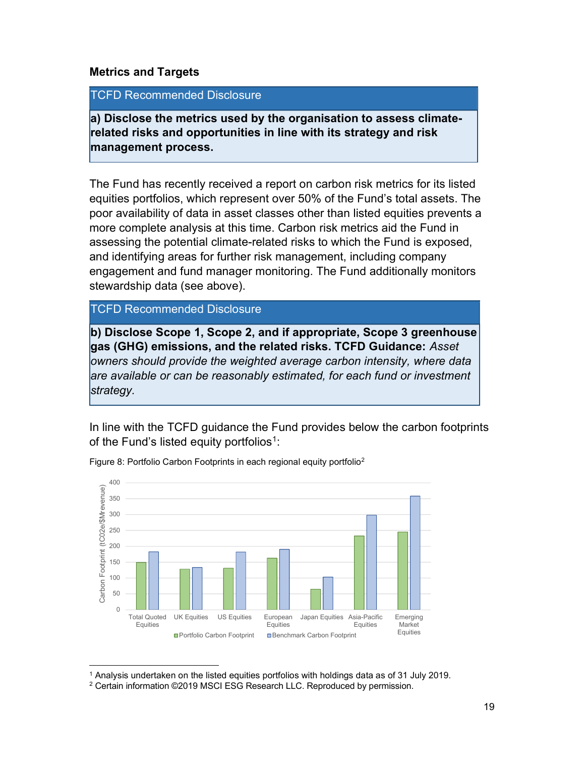#### Metrics and Targets

#### TCFD Recommended Disclosure

a) Disclose the metrics used by the organisation to assess climaterelated risks and opportunities in line with its strategy and risk management process.

The Fund has recently received a report on carbon risk metrics for its listed equities portfolios, which represent over 50% of the Fund's total assets. The poor availability of data in asset classes other than listed equities prevents a more complete analysis at this time. Carbon risk metrics aid the Fund in assessing the potential climate-related risks to which the Fund is exposed, and identifying areas for further risk management, including company engagement and fund manager monitoring. The Fund additionally monitors stewardship data (see above).

TCFD Recommended Disclosure

b) Disclose Scope 1, Scope 2, and if appropriate, Scope 3 greenhouse gas (GHG) emissions, and the related risks. TCFD Guidance: Asset owners should provide the weighted average carbon intensity, where data are available or can be reasonably estimated, for each fund or investment strategy.

In line with the TCFD guidance the Fund provides below the carbon footprints of the Fund's listed equity portfolios $1$ :



Figure 8: Portfolio Carbon Footprints in each regional equity portfolio<sup>2</sup>

<sup>1</sup> Analysis undertaken on the listed equities portfolios with holdings data as of 31 July 2019.

<sup>2</sup> Certain information ©2019 MSCI ESG Research LLC. Reproduced by permission.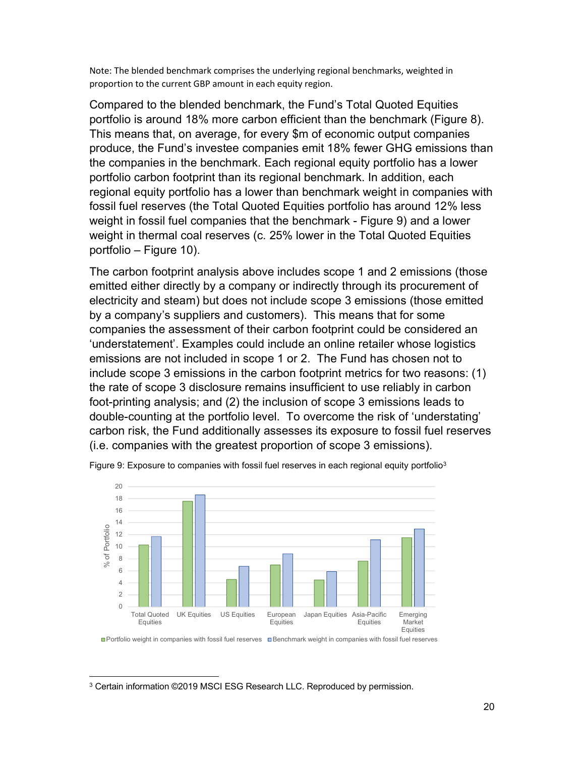Note: The blended benchmark comprises the underlying regional benchmarks, weighted in proportion to the current GBP amount in each equity region.

Compared to the blended benchmark, the Fund's Total Quoted Equities portfolio is around 18% more carbon efficient than the benchmark (Figure 8). This means that, on average, for every \$m of economic output companies produce, the Fund's investee companies emit 18% fewer GHG emissions than the companies in the benchmark. Each regional equity portfolio has a lower portfolio carbon footprint than its regional benchmark. In addition, each regional equity portfolio has a lower than benchmark weight in companies with fossil fuel reserves (the Total Quoted Equities portfolio has around 12% less weight in fossil fuel companies that the benchmark - Figure 9) and a lower weight in thermal coal reserves (c. 25% lower in the Total Quoted Equities portfolio – Figure 10).

The carbon footprint analysis above includes scope 1 and 2 emissions (those emitted either directly by a company or indirectly through its procurement of electricity and steam) but does not include scope 3 emissions (those emitted by a company's suppliers and customers). This means that for some companies the assessment of their carbon footprint could be considered an 'understatement'. Examples could include an online retailer whose logistics emissions are not included in scope 1 or 2. The Fund has chosen not to include scope 3 emissions in the carbon footprint metrics for two reasons: (1) the rate of scope 3 disclosure remains insufficient to use reliably in carbon foot-printing analysis; and (2) the inclusion of scope 3 emissions leads to double-counting at the portfolio level. To overcome the risk of 'understating' carbon risk, the Fund additionally assesses its exposure to fossil fuel reserves (i.e. companies with the greatest proportion of scope 3 emissions).



Figure 9: Exposure to companies with fossil fuel reserves in each regional equity portfolio<sup>3</sup>

<sup>3</sup> Certain information ©2019 MSCI ESG Research LLC. Reproduced by permission.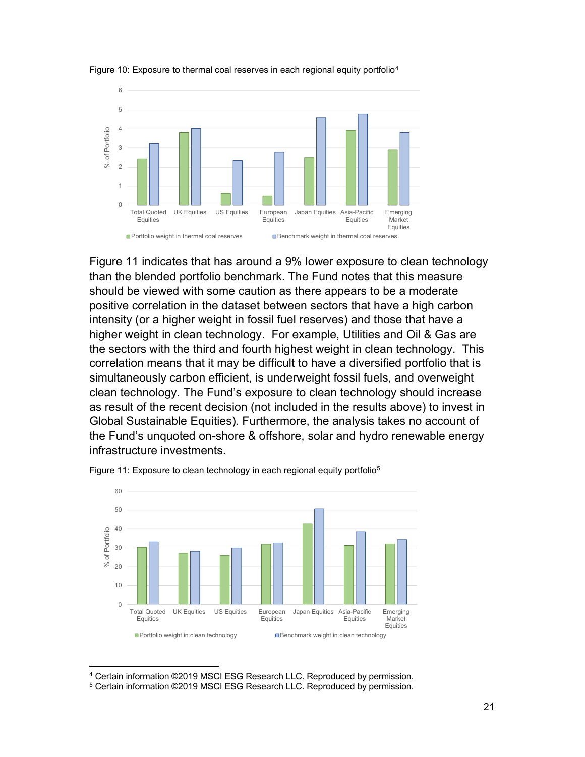

#### Figure 10: Exposure to thermal coal reserves in each regional equity portfolio<sup>4</sup>

Figure 11 indicates that has around a 9% lower exposure to clean technology than the blended portfolio benchmark. The Fund notes that this measure should be viewed with some caution as there appears to be a moderate positive correlation in the dataset between sectors that have a high carbon intensity (or a higher weight in fossil fuel reserves) and those that have a higher weight in clean technology. For example, Utilities and Oil & Gas are the sectors with the third and fourth highest weight in clean technology. This correlation means that it may be difficult to have a diversified portfolio that is simultaneously carbon efficient, is underweight fossil fuels, and overweight clean technology. The Fund's exposure to clean technology should increase as result of the recent decision (not included in the results above) to invest in Global Sustainable Equities). Furthermore, the analysis takes no account of the Fund's unquoted on-shore & offshore, solar and hydro renewable energy infrastructure investments.



Figure 11: Exposure to clean technology in each regional equity portfolio<sup>5</sup>

<sup>4</sup> Certain information ©2019 MSCI ESG Research LLC. Reproduced by permission. 5 Certain information ©2019 MSCI ESG Research LLC. Reproduced by permission.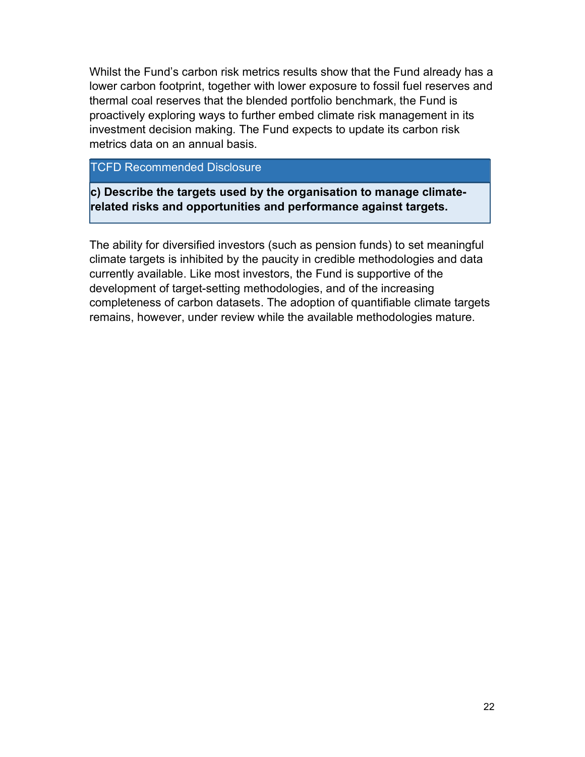Whilst the Fund's carbon risk metrics results show that the Fund already has a lower carbon footprint, together with lower exposure to fossil fuel reserves and thermal coal reserves that the blended portfolio benchmark, the Fund is proactively exploring ways to further embed climate risk management in its investment decision making. The Fund expects to update its carbon risk metrics data on an annual basis.

# TCFD Recommended Disclosure

c) Describe the targets used by the organisation to manage climaterelated risks and opportunities and performance against targets.

The ability for diversified investors (such as pension funds) to set meaningful climate targets is inhibited by the paucity in credible methodologies and data currently available. Like most investors, the Fund is supportive of the development of target-setting methodologies, and of the increasing completeness of carbon datasets. The adoption of quantifiable climate targets remains, however, under review while the available methodologies mature.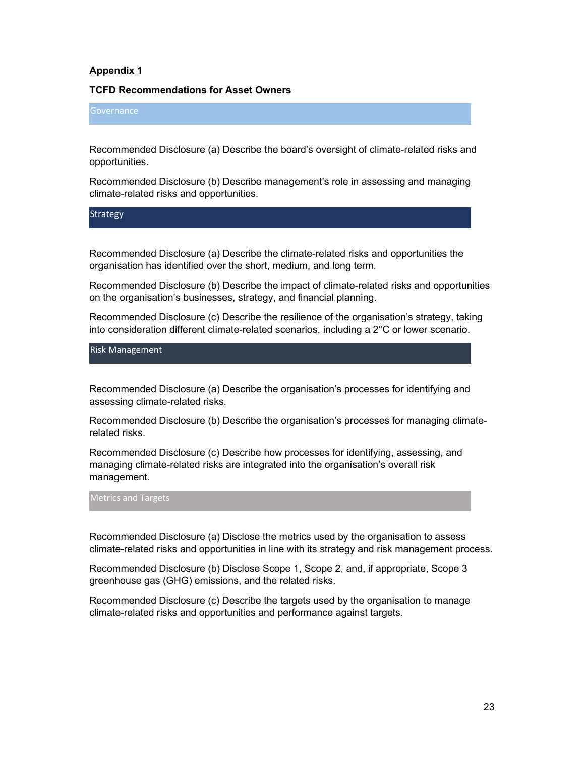#### Appendix 1

#### TCFD Recommendations for Asset Owners

#### **Governance**

Recommended Disclosure (a) Describe the board's oversight of climate-related risks and opportunities.

Recommended Disclosure (b) Describe management's role in assessing and managing climate-related risks and opportunities.

**Strategy** 

Recommended Disclosure (a) Describe the climate-related risks and opportunities the organisation has identified over the short, medium, and long term.

Recommended Disclosure (b) Describe the impact of climate-related risks and opportunities on the organisation's businesses, strategy, and financial planning.

Recommended Disclosure (c) Describe the resilience of the organisation's strategy, taking into consideration different climate-related scenarios, including a 2°C or lower scenario.

Risk Management

Recommended Disclosure (a) Describe the organisation's processes for identifying and assessing climate-related risks.

Recommended Disclosure (b) Describe the organisation's processes for managing climaterelated risks.

Recommended Disclosure (c) Describe how processes for identifying, assessing, and managing climate-related risks are integrated into the organisation's overall risk management.

Metrics and Targets

Recommended Disclosure (a) Disclose the metrics used by the organisation to assess climate-related risks and opportunities in line with its strategy and risk management process.

Recommended Disclosure (b) Disclose Scope 1, Scope 2, and, if appropriate, Scope 3 greenhouse gas (GHG) emissions, and the related risks.

Recommended Disclosure (c) Describe the targets used by the organisation to manage climate-related risks and opportunities and performance against targets.